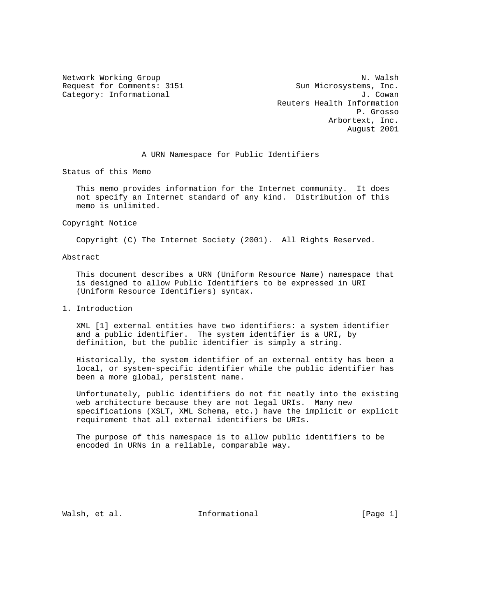Request for Comments: 3151 Sun Microsystems, Inc. Category: Informational and  $J.$  Cowan

Network Working Group Network Working Group Network Working Group Reuters Health Information P. Grosso Arbortext, Inc. August 2001

## A URN Namespace for Public Identifiers

Status of this Memo

 This memo provides information for the Internet community. It does not specify an Internet standard of any kind. Distribution of this memo is unlimited.

Copyright Notice

Copyright (C) The Internet Society (2001). All Rights Reserved.

Abstract

 This document describes a URN (Uniform Resource Name) namespace that is designed to allow Public Identifiers to be expressed in URI (Uniform Resource Identifiers) syntax.

1. Introduction

 XML [1] external entities have two identifiers: a system identifier and a public identifier. The system identifier is a URI, by definition, but the public identifier is simply a string.

 Historically, the system identifier of an external entity has been a local, or system-specific identifier while the public identifier has been a more global, persistent name.

 Unfortunately, public identifiers do not fit neatly into the existing web architecture because they are not legal URIs. Many new specifications (XSLT, XML Schema, etc.) have the implicit or explicit requirement that all external identifiers be URIs.

 The purpose of this namespace is to allow public identifiers to be encoded in URNs in a reliable, comparable way.

Walsh, et al. 10. Informational 1. [Page 1]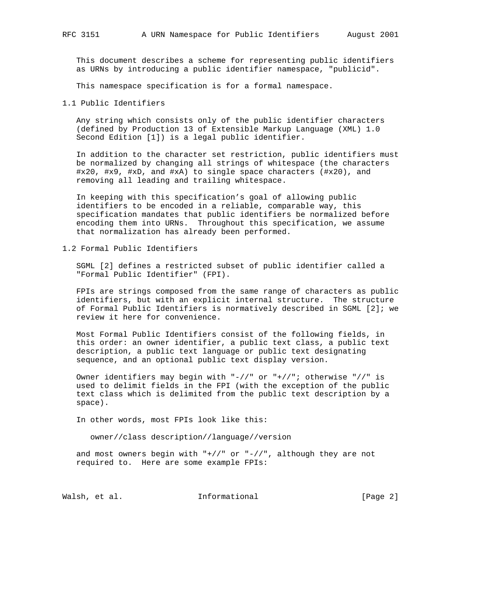This document describes a scheme for representing public identifiers as URNs by introducing a public identifier namespace, "publicid".

This namespace specification is for a formal namespace.

1.1 Public Identifiers

 Any string which consists only of the public identifier characters (defined by Production 13 of Extensible Markup Language (XML) 1.0 Second Edition [1]) is a legal public identifier.

 In addition to the character set restriction, public identifiers must be normalized by changing all strings of whitespace (the characters #x20, #x9, #xD, and #xA) to single space characters (#x20), and removing all leading and trailing whitespace.

 In keeping with this specification's goal of allowing public identifiers to be encoded in a reliable, comparable way, this specification mandates that public identifiers be normalized before encoding them into URNs. Throughout this specification, we assume that normalization has already been performed.

1.2 Formal Public Identifiers

 SGML [2] defines a restricted subset of public identifier called a "Formal Public Identifier" (FPI).

 FPIs are strings composed from the same range of characters as public identifiers, but with an explicit internal structure. The structure of Formal Public Identifiers is normatively described in SGML [2]; we review it here for convenience.

 Most Formal Public Identifiers consist of the following fields, in this order: an owner identifier, a public text class, a public text description, a public text language or public text designating sequence, and an optional public text display version.

 Owner identifiers may begin with "-//" or "+//"; otherwise "//" is used to delimit fields in the FPI (with the exception of the public text class which is delimited from the public text description by a space).

In other words, most FPIs look like this:

owner//class description//language//version

and most owners begin with  $"+//"$  or  $"-/,"$  although they are not required to. Here are some example FPIs:

Walsh, et al. 10. Informational 1. [Page 2]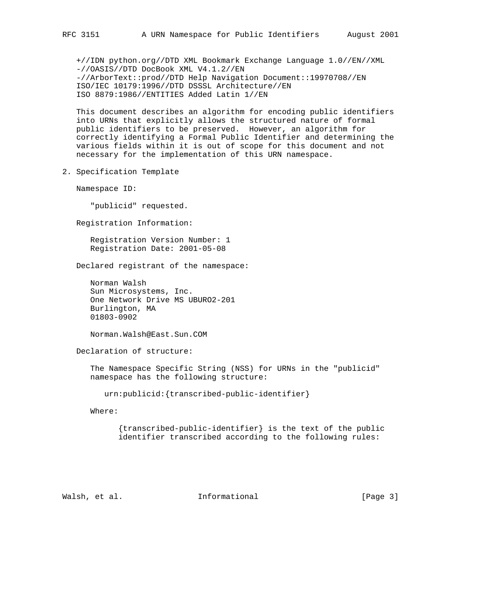+//IDN python.org//DTD XML Bookmark Exchange Language 1.0//EN//XML -//OASIS//DTD DocBook XML V4.1.2//EN -//ArborText::prod//DTD Help Navigation Document::19970708//EN ISO/IEC 10179:1996//DTD DSSSL Architecture//EN ISO 8879:1986//ENTITIES Added Latin 1//EN

 This document describes an algorithm for encoding public identifiers into URNs that explicitly allows the structured nature of formal public identifiers to be preserved. However, an algorithm for correctly identifying a Formal Public Identifier and determining the various fields within it is out of scope for this document and not necessary for the implementation of this URN namespace.

2. Specification Template

Namespace ID:

"publicid" requested.

Registration Information:

 Registration Version Number: 1 Registration Date: 2001-05-08

Declared registrant of the namespace:

 Norman Walsh Sun Microsystems, Inc. One Network Drive MS UBURO2-201 Burlington, MA 01803-0902

Norman.Walsh@East.Sun.COM

Declaration of structure:

 The Namespace Specific String (NSS) for URNs in the "publicid" namespace has the following structure:

```
 urn:publicid:{transcribed-public-identifier}
```
Where:

 {transcribed-public-identifier} is the text of the public identifier transcribed according to the following rules:

Walsh, et al. **Informational Example 1** [Page 3]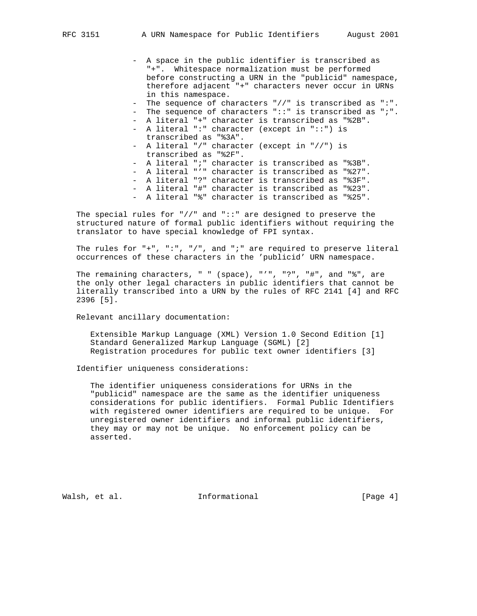- A space in the public identifier is transcribed as "+". Whitespace normalization must be performed before constructing a URN in the "publicid" namespace, therefore adjacent "+" characters never occur in URNs in this namespace. - The sequence of characters "//" is transcribed as ":". - The sequence of characters "::" is transcribed as ";". - A literal "+" character is transcribed as "%2B". - A literal ":" character (except in "::") is transcribed as "%3A". - A literal "/" character (except in "//") is transcribed as "%2F". - A literal ";" character is transcribed as "%3B". - A literal "'" character is transcribed as "%27". - A literal "?" character is transcribed as "%3F". - A literal "#" character is transcribed as "%23". - A literal "%" character is transcribed as "%25".

The special rules for  $\frac{m}{r}$  and  $\frac{m}{r}$ : are designed to preserve the structured nature of formal public identifiers without requiring the translator to have special knowledge of FPI syntax.

 The rules for "+", ":", "/", and ";" are required to preserve literal occurrences of these characters in the 'publicid' URN namespace.

The remaining characters, " " (space), "'", "?", "#", and " $\delta$ ", are the only other legal characters in public identifiers that cannot be literally transcribed into a URN by the rules of RFC 2141 [4] and RFC 2396 [5].

Relevant ancillary documentation:

 Extensible Markup Language (XML) Version 1.0 Second Edition [1] Standard Generalized Markup Language (SGML) [2] Registration procedures for public text owner identifiers [3]

Identifier uniqueness considerations:

 The identifier uniqueness considerations for URNs in the "publicid" namespace are the same as the identifier uniqueness considerations for public identifiers. Formal Public Identifiers with registered owner identifiers are required to be unique. For unregistered owner identifiers and informal public identifiers, they may or may not be unique. No enforcement policy can be asserted.

Walsh, et al. **Informational** [Page 4]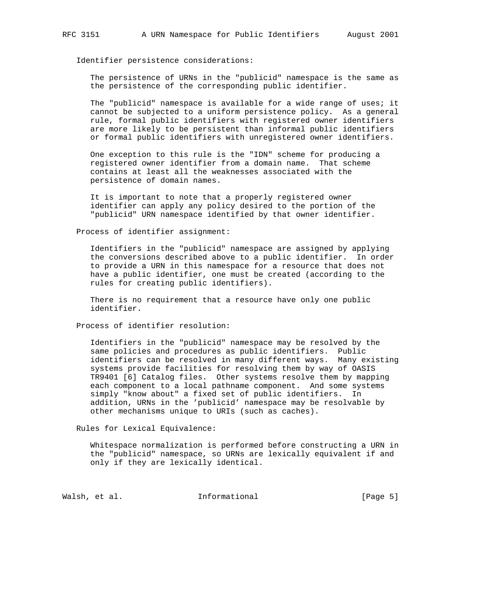Identifier persistence considerations:

 The persistence of URNs in the "publicid" namespace is the same as the persistence of the corresponding public identifier.

 The "publicid" namespace is available for a wide range of uses; it cannot be subjected to a uniform persistence policy. As a general rule, formal public identifiers with registered owner identifiers are more likely to be persistent than informal public identifiers or formal public identifiers with unregistered owner identifiers.

 One exception to this rule is the "IDN" scheme for producing a registered owner identifier from a domain name. That scheme contains at least all the weaknesses associated with the persistence of domain names.

 It is important to note that a properly registered owner identifier can apply any policy desired to the portion of the "publicid" URN namespace identified by that owner identifier.

Process of identifier assignment:

 Identifiers in the "publicid" namespace are assigned by applying the conversions described above to a public identifier. In order to provide a URN in this namespace for a resource that does not have a public identifier, one must be created (according to the rules for creating public identifiers).

 There is no requirement that a resource have only one public identifier.

Process of identifier resolution:

 Identifiers in the "publicid" namespace may be resolved by the same policies and procedures as public identifiers. Public identifiers can be resolved in many different ways. Many existing systems provide facilities for resolving them by way of OASIS TR9401 [6] Catalog files. Other systems resolve them by mapping each component to a local pathname component. And some systems simply "know about" a fixed set of public identifiers. In addition, URNs in the 'publicid' namespace may be resolvable by other mechanisms unique to URIs (such as caches).

Rules for Lexical Equivalence:

 Whitespace normalization is performed before constructing a URN in the "publicid" namespace, so URNs are lexically equivalent if and only if they are lexically identical.

Walsh, et al. 10. Informational 1. [Page 5]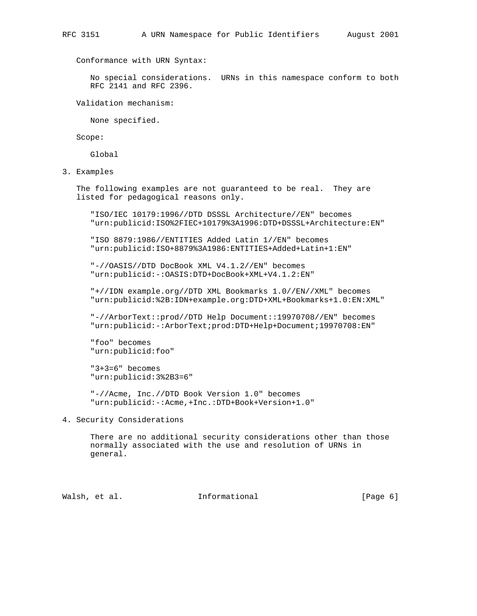Conformance with URN Syntax:

 No special considerations. URNs in this namespace conform to both RFC 2141 and RFC 2396.

Validation mechanism:

None specified.

Scope:

Global

3. Examples

 The following examples are not guaranteed to be real. They are listed for pedagogical reasons only.

 "ISO/IEC 10179:1996//DTD DSSSL Architecture//EN" becomes "urn:publicid:ISO%2FIEC+10179%3A1996:DTD+DSSSL+Architecture:EN"

 "ISO 8879:1986//ENTITIES Added Latin 1//EN" becomes "urn:publicid:ISO+8879%3A1986:ENTITIES+Added+Latin+1:EN"

 "-//OASIS//DTD DocBook XML V4.1.2//EN" becomes "urn:publicid:-:OASIS:DTD+DocBook+XML+V4.1.2:EN"

 "+//IDN example.org//DTD XML Bookmarks 1.0//EN//XML" becomes "urn:publicid:%2B:IDN+example.org:DTD+XML+Bookmarks+1.0:EN:XML"

 "-//ArborText::prod//DTD Help Document::19970708//EN" becomes "urn:publicid:-:ArborText;prod:DTD+Help+Document;19970708:EN"

 "foo" becomes "urn:publicid:foo"

 "3+3=6" becomes "urn:publicid:3%2B3=6"

 "-//Acme, Inc.//DTD Book Version 1.0" becomes "urn:publicid:-:Acme,+Inc.:DTD+Book+Version+1.0"

## 4. Security Considerations

 There are no additional security considerations other than those normally associated with the use and resolution of URNs in general.

Walsh, et al. **Informational Example 1** [Page 6]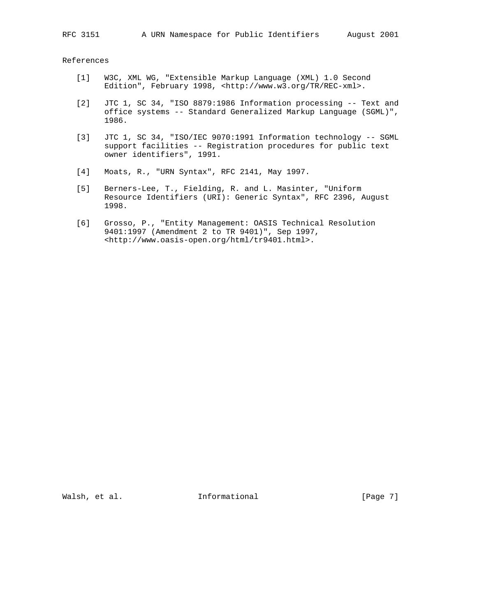References

- [1] W3C, XML WG, "Extensible Markup Language (XML) 1.0 Second Edition", February 1998, <http://www.w3.org/TR/REC-xml>.
- [2] JTC 1, SC 34, "ISO 8879:1986 Information processing -- Text and office systems -- Standard Generalized Markup Language (SGML)", 1986.
- [3] JTC 1, SC 34, "ISO/IEC 9070:1991 Information technology -- SGML support facilities -- Registration procedures for public text owner identifiers", 1991.
- [4] Moats, R., "URN Syntax", RFC 2141, May 1997.
- [5] Berners-Lee, T., Fielding, R. and L. Masinter, "Uniform Resource Identifiers (URI): Generic Syntax", RFC 2396, August 1998.
- [6] Grosso, P., "Entity Management: OASIS Technical Resolution 9401:1997 (Amendment 2 to TR 9401)", Sep 1997, <http://www.oasis-open.org/html/tr9401.html>.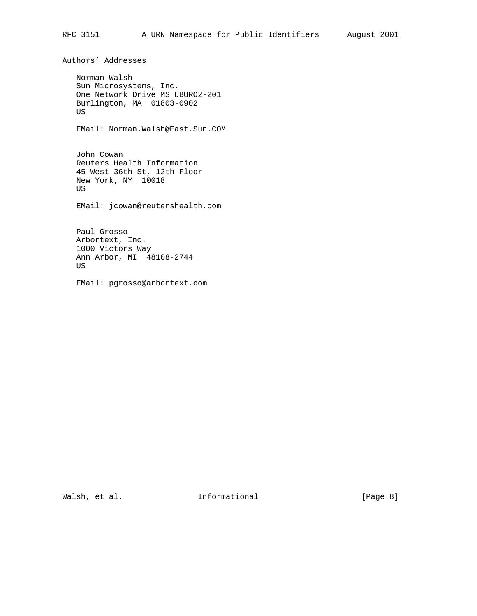Authors' Addresses

 Norman Walsh Sun Microsystems, Inc. One Network Drive MS UBURO2-201 Burlington, MA 01803-0902 US

EMail: Norman.Walsh@East.Sun.COM

 John Cowan Reuters Health Information 45 West 36th St, 12th Floor New York, NY 10018 US

EMail: jcowan@reutershealth.com

 Paul Grosso Arbortext, Inc. 1000 Victors Way Ann Arbor, MI 48108-2744 US

EMail: pgrosso@arbortext.com

Walsh, et al. 10. Informational 1. [Page 8]